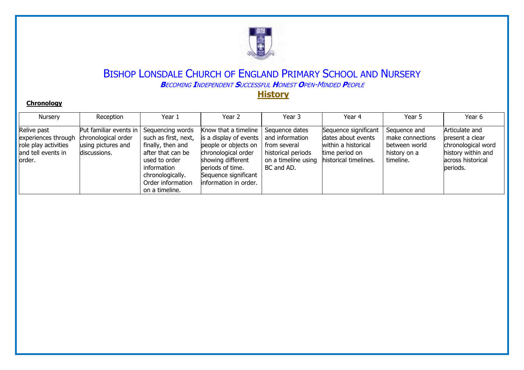

#### **Chronology**

| Nursery                                                                                     | Reception                                                                           | Year 1                                                                                                                                                                        | Year 2                                                                                                                                                                                   | Year 3                                                                                                       | Year 4                                                                                                       | Year 5                                                                         | Year 6                                                                                                          |
|---------------------------------------------------------------------------------------------|-------------------------------------------------------------------------------------|-------------------------------------------------------------------------------------------------------------------------------------------------------------------------------|------------------------------------------------------------------------------------------------------------------------------------------------------------------------------------------|--------------------------------------------------------------------------------------------------------------|--------------------------------------------------------------------------------------------------------------|--------------------------------------------------------------------------------|-----------------------------------------------------------------------------------------------------------------|
| Relive past<br>experiences through<br>role play activities<br>and tell events in<br>lorder. | Put familiar events in<br>chronological order<br>using pictures and<br>discussions. | Sequencing words<br>such as first, next,<br>finally, then and<br>after that can be<br>used to order<br>information<br>chronologically.<br>Order information<br>on a timeline. | Know that a timeline<br>is a display of events<br>people or objects on<br>chronological order<br>showing different<br>periods of time.<br>Sequence significant<br>linformation in order. | Sequence dates<br>and information<br>from several<br>historical periods<br>on a timeline using<br>BC and AD. | Sequence significant<br>dates about events<br>within a historical<br>time period on<br>historical timelines. | Sequence and<br>make connections<br>between world<br>history on a<br>timeline. | Articulate and<br>present a clear<br>chronological word<br>history within and<br>lacross historical<br>periods. |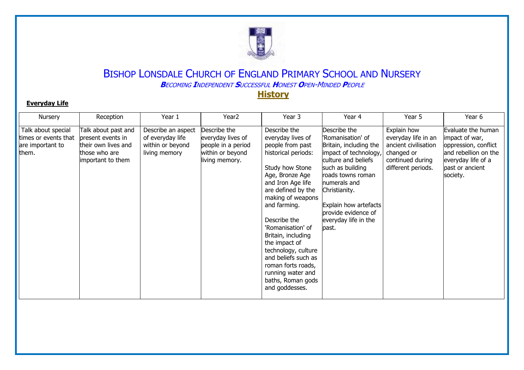

#### **Everyday Life**

| Nursery                                                                 | Reception                                                                                             | Year 1                                                                      | Year <sub>2</sub>                                                                             | Year 3                                                                                                                                                                                                                                                                                                                                                                                                         | Year 4                                                                                                                                                                                                                                                                 | Year 5                                                                                                             | Year 6                                                                                                                                    |
|-------------------------------------------------------------------------|-------------------------------------------------------------------------------------------------------|-----------------------------------------------------------------------------|-----------------------------------------------------------------------------------------------|----------------------------------------------------------------------------------------------------------------------------------------------------------------------------------------------------------------------------------------------------------------------------------------------------------------------------------------------------------------------------------------------------------------|------------------------------------------------------------------------------------------------------------------------------------------------------------------------------------------------------------------------------------------------------------------------|--------------------------------------------------------------------------------------------------------------------|-------------------------------------------------------------------------------------------------------------------------------------------|
| Talk about special<br>times or events that<br>are important to<br>them. | Talk about past and<br>present events in<br>their own lives and<br>those who are<br>important to them | Describe an aspect<br>of everyday life<br>within or beyond<br>living memory | Describe the<br>everyday lives of<br>people in a period<br>within or beyond<br>living memory. | Describe the<br>everyday lives of<br>people from past<br>historical periods:<br>Study how Stone<br>Age, Bronze Age<br>and Iron Age life<br>are defined by the<br>making of weapons<br>and farming.<br>Describe the<br>'Romanisation' of<br>Britain, including<br>the impact of<br>technology, culture<br>and beliefs such as<br>roman forts roads,<br>running water and<br>baths, Roman gods<br>and goddesses. | Describe the<br>"Romanisation' of<br>Britain, including the<br>impact of technology,<br>culture and beliefs<br>such as building<br>roads towns roman<br>numerals and<br>Christianity.<br>Explain how artefacts<br>provide evidence of<br>everyday life in the<br>past. | Explain how<br>everyday life in an<br>ancient civilisation<br>changed or<br>continued during<br>different periods. | Evaluate the human<br>impact of war,<br>oppression, conflict<br>and rebellion on the<br>everyday life of a<br>past or ancient<br>society. |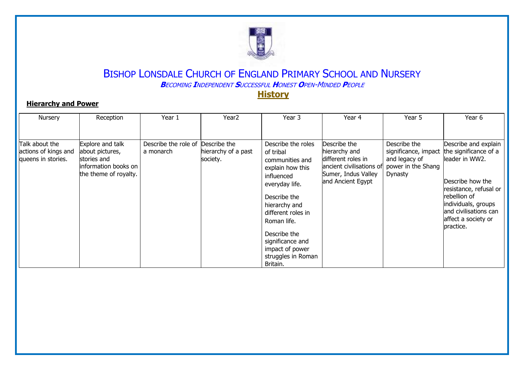

### **Hierarchy and Power**

| Nursery                                                      | Reception                                                                                           | Year 1                            | Year <sub>2</sub>                               | Year 3                                                                                                                                                                                                                                                                | Year 4                                                                                                                      | Year 5                                                                                        | Year 6                                                                                                                                                                                                             |
|--------------------------------------------------------------|-----------------------------------------------------------------------------------------------------|-----------------------------------|-------------------------------------------------|-----------------------------------------------------------------------------------------------------------------------------------------------------------------------------------------------------------------------------------------------------------------------|-----------------------------------------------------------------------------------------------------------------------------|-----------------------------------------------------------------------------------------------|--------------------------------------------------------------------------------------------------------------------------------------------------------------------------------------------------------------------|
|                                                              |                                                                                                     |                                   |                                                 |                                                                                                                                                                                                                                                                       |                                                                                                                             |                                                                                               |                                                                                                                                                                                                                    |
| Talk about the<br>actions of kings and<br>queens in stories. | Explore and talk<br>about pictures,<br>stories and<br>information books on<br>the theme of royalty. | Describe the role of<br>a monarch | Describe the<br>hierarchy of a past<br>society. | Describe the roles<br>of tribal<br>communities and<br>explain how this<br>influenced<br>everyday life.<br>Describe the<br>hierarchy and<br>different roles in<br>Roman life.<br>Describe the<br>significance and<br>impact of power<br>struggles in Roman<br>Britain. | Describe the<br>hierarchy and<br>different roles in<br>ancient civilisations of<br>Sumer, Indus Valley<br>and Ancient Egypt | Describe the<br>significance, impact<br>and legacy of<br>power in the Shang<br><b>Dynasty</b> | Describe and explain<br>the significance of a<br>lleader in WW2.<br>Describe how the<br>resistance, refusal or<br>rebellion of<br>individuals, groups<br>and civilisations can<br>affect a society or<br>practice. |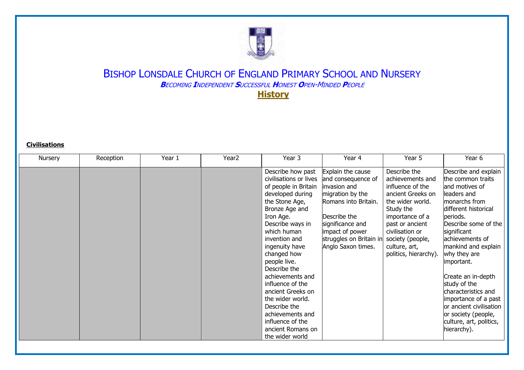

**Civilisations**

|         | Reception | Year 1 | Year <sub>2</sub> | Year 3                 | Year 4                  | Year 5                | Year 6                  |
|---------|-----------|--------|-------------------|------------------------|-------------------------|-----------------------|-------------------------|
| Nursery |           |        |                   |                        |                         |                       |                         |
|         |           |        |                   | Describe how past      | Explain the cause       | Describe the          | Describe and explain    |
|         |           |        |                   | civilisations or lives | and consequence of      | achievements and      | the common traits       |
|         |           |        |                   | of people in Britain   | invasion and            | influence of the      | and motives of          |
|         |           |        |                   | developed during       | migration by the        | ancient Greeks on     | lleaders and            |
|         |           |        |                   | the Stone Age,         | Romans into Britain.    | the wider world.      | monarchs from           |
|         |           |        |                   | Bronze Age and         |                         | Study the             | different historical    |
|         |           |        |                   | Iron Age.              | Describe the            | importance of a       | periods.                |
|         |           |        |                   | Describe ways in       | significance and        | past or ancient       | Describe some of the    |
|         |           |        |                   | which human            | impact of power         | civilisation or       | significant             |
|         |           |        |                   | invention and          | struggles on Britain in | society (people,      | achievements of         |
|         |           |        |                   | ingenuity have         | Anglo Saxon times.      | culture, art,         | mankind and explain     |
|         |           |        |                   | changed how            |                         | politics, hierarchy). | why they are            |
|         |           |        |                   | people live.           |                         |                       | important.              |
|         |           |        |                   | Describe the           |                         |                       |                         |
|         |           |        |                   | achievements and       |                         |                       | Create an in-depth      |
|         |           |        |                   | influence of the       |                         |                       | study of the            |
|         |           |        |                   | ancient Greeks on      |                         |                       | characteristics and     |
|         |           |        |                   | the wider world.       |                         |                       | importance of a past    |
|         |           |        |                   | Describe the           |                         |                       | or ancient civilisation |
|         |           |        |                   | achievements and       |                         |                       | or society (people,     |
|         |           |        |                   | influence of the       |                         |                       | culture, art, politics, |
|         |           |        |                   | ancient Romans on      |                         |                       | hierarchy).             |
|         |           |        |                   | the wider world        |                         |                       |                         |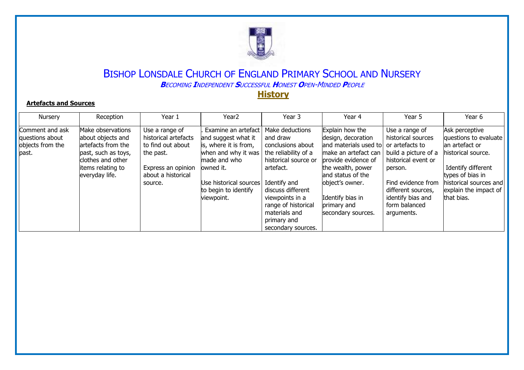

#### **Artefacts and Sources**

| Nursery                                                         | Reception                                                                                                                                       | Year 1                                                                                                                          | Year <sub>2</sub>                                                                                                                                                                       | Year 3                                                                                                                                                                                                                                             | Year 4                                                                                                                                                                                                                                              | Year 5                                                                                                                                                                                         | Year 6                                                                                                                                                                                     |
|-----------------------------------------------------------------|-------------------------------------------------------------------------------------------------------------------------------------------------|---------------------------------------------------------------------------------------------------------------------------------|-----------------------------------------------------------------------------------------------------------------------------------------------------------------------------------------|----------------------------------------------------------------------------------------------------------------------------------------------------------------------------------------------------------------------------------------------------|-----------------------------------------------------------------------------------------------------------------------------------------------------------------------------------------------------------------------------------------------------|------------------------------------------------------------------------------------------------------------------------------------------------------------------------------------------------|--------------------------------------------------------------------------------------------------------------------------------------------------------------------------------------------|
| Comment and ask<br>questions about<br>objects from the<br>past. | Make observations<br>about objects and<br>artefacts from the<br>past, such as toys,<br>clothes and other<br>items relating to<br>everyday life. | Use a range of<br>historical artefacts<br>to find out about<br>the past.<br>Express an opinion<br>about a historical<br>source. | Examine an artefact<br>and suggest what it<br>is, where it is from,<br>when and why it was<br>made and who<br>owned it.<br>Use historical sources<br>to begin to identify<br>viewpoint. | Make deductions<br>and draw<br>conclusions about<br>the reliability of a<br>historical source or<br>artefact.<br>Identify and<br>discuss different<br>viewpoints in a<br>range of historical<br>materials and<br>primary and<br>secondary sources. | Explain how the<br>design, decoration<br>and materials used to or artefacts to<br>make an artefact can<br>provide evidence of<br>the wealth, power<br>and status of the<br>object's owner.<br>Identify bias in<br>primary and<br>secondary sources. | Use a range of<br>historical sources<br>build a picture of a<br>historical event or<br>person.<br>Find evidence from<br>different sources,<br>identify bias and<br>form balanced<br>arguments. | Ask perceptive<br>questions to evaluate<br>an artefact or<br>historical source.<br>Identify different<br>types of bias in<br>historical sources and<br>explain the impact of<br>that bias. |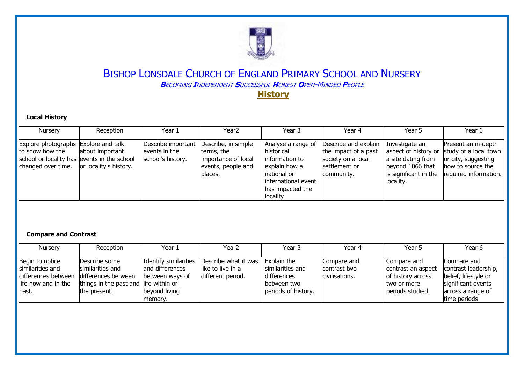

#### **Local History**

| <b>Nursery</b>                                                                                                               | Reception                                 | Year 1                                                   | Year <sub>2</sub>                                                                         | Year 3                                                                                                                                    | Year 4                                                                                            | Year 5                                                                                                                 | Year 6                                                                                                            |
|------------------------------------------------------------------------------------------------------------------------------|-------------------------------------------|----------------------------------------------------------|-------------------------------------------------------------------------------------------|-------------------------------------------------------------------------------------------------------------------------------------------|---------------------------------------------------------------------------------------------------|------------------------------------------------------------------------------------------------------------------------|-------------------------------------------------------------------------------------------------------------------|
| Explore photographs Explore and talk<br>to show how the<br>school or locality has events in the school<br>changed over time. | about important<br>or locality's history. | Describe important<br>events in the<br>school's history. | Describe, in simple<br>terms, the<br>importance of local<br>events, people and<br>blaces. | Analyse a range of<br>historical<br>information to<br>explain how a<br>national or<br>international event<br>has impacted the<br>locality | Describe and explain<br>the impact of a past<br>society on a local<br>settlement or<br>community. | Investigate an<br>aspect of history or<br>a site dating from<br>beyond 1066 that<br>is significant in the<br>locality. | Present an in-depth<br>study of a local town<br>or city, suggesting<br>how to source the<br>required information. |

#### **Compare and Contrast**

| Nursery                                                                                     | Reception                                                                                                         | Year 1                                                                                  | Year <sub>2</sub>                                                | Year 3                                                                               | Year 4                                        | Year 5                                                                                    | Year 6                                                                                                                 |
|---------------------------------------------------------------------------------------------|-------------------------------------------------------------------------------------------------------------------|-----------------------------------------------------------------------------------------|------------------------------------------------------------------|--------------------------------------------------------------------------------------|-----------------------------------------------|-------------------------------------------------------------------------------------------|------------------------------------------------------------------------------------------------------------------------|
| Begin to notice<br>similarities and<br>differences between<br>life now and in the<br>lpast. | Describe some<br>similarities and<br>differences between<br>things in the past and life within or<br>the present. | Identify similarities<br>and differences<br>between ways of<br>beyond living<br>memory. | Describe what it was  <br>like to live in a<br>different period. | Explain the<br>similarities and<br>differences<br>between two<br>periods of history. | Compare and<br>contrast two<br>civilisations. | Compare and<br>contrast an aspect<br>of history across<br>two or more<br>periods studied. | Compare and<br>contrast leadership,<br>belief, lifestyle or<br>significant events<br>across a range of<br>time periods |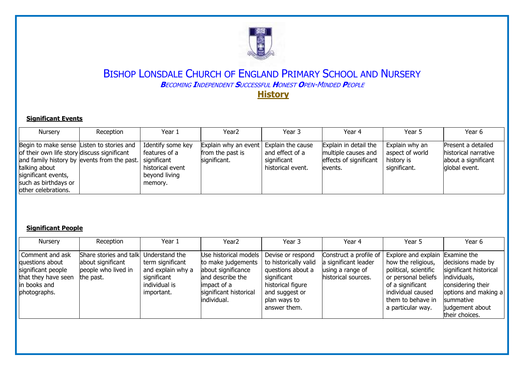

#### **Significant Events**

| <b>Nursery</b>                                                                                                                                                                  | Reception                                   | Year 1                                                                                            | Year <sub>2</sub>                                                            | Year 3                                              | Year 4                                                                             | Year 5                                                          | Year 6                                                                             |
|---------------------------------------------------------------------------------------------------------------------------------------------------------------------------------|---------------------------------------------|---------------------------------------------------------------------------------------------------|------------------------------------------------------------------------------|-----------------------------------------------------|------------------------------------------------------------------------------------|-----------------------------------------------------------------|------------------------------------------------------------------------------------|
| Begin to make sense Listen to stories and<br>of their own life story discuss significant<br>talking about<br>significant events,<br>such as birthdays or<br>other celebrations. | and family history by events from the past. | Identify some key<br>features of a<br>significant<br>historical event<br>beyond living<br>memory. | Explain why an event   Explain the cause<br>from the past is<br>significant. | and effect of a<br>significant<br>historical event. | Explain in detail the<br>multiple causes and<br>effects of significant<br>levents. | Explain why an<br>aspect of world<br>history is<br>significant. | Present a detailed<br>historical narrative<br>about a significant<br>global event. |

#### **Significant People**

| Nursery                                                                                                         | Reception                                                                       | Year 1                                                                                                | Year <sub>2</sub>                                                                                                                               | Year 3                                                                                                                                                | Year 4                                                                                    | Year 5                                                                                                                                                                                   | Year 6                                                                                                                                                     |
|-----------------------------------------------------------------------------------------------------------------|---------------------------------------------------------------------------------|-------------------------------------------------------------------------------------------------------|-------------------------------------------------------------------------------------------------------------------------------------------------|-------------------------------------------------------------------------------------------------------------------------------------------------------|-------------------------------------------------------------------------------------------|------------------------------------------------------------------------------------------------------------------------------------------------------------------------------------------|------------------------------------------------------------------------------------------------------------------------------------------------------------|
| Comment and ask<br>questions about<br>significant people<br>that they have seen<br>in books and<br>photographs. | Share stories and talk<br>about significant<br>people who lived in<br>the past. | Understand the<br>term significant<br>and explain why a<br>significant<br>individual is<br>important. | Use historical models<br>to make judgements<br>about significance<br>and describe the<br>limpact of a<br>significant historical<br>lindividual. | Devise or respond<br>to historically valid<br>questions about a<br>significant<br>historical figure<br>and suggest or<br>plan ways to<br>answer them. | Construct a profile of<br>a significant leader<br>using a range of<br>historical sources. | Explore and explain Examine the<br>how the religious,<br>political, scientific<br>or personal beliefs<br>of a significant<br>individual caused<br>them to behave in<br>a particular way. | decisions made by<br>significant historical<br>individuals,<br>considering their<br>options and making a<br>summative<br>judgement about<br>their choices. |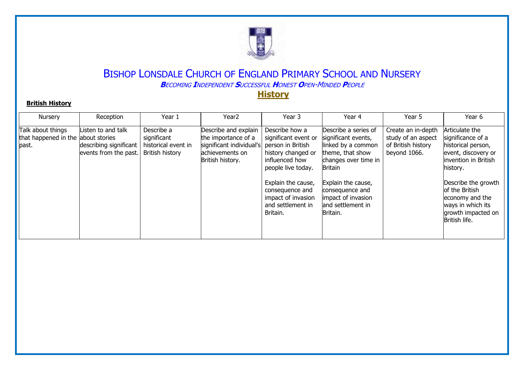

#### **British History**

| <b>Nursery</b>                                                   | Reception                                                             | Year 1                                                                     | Year <sub>2</sub>                                                                                              | Year 3                                                                                                                                                                                                                    | Year 4                                                                                                                                                                                                                          | Year 5                                                                         | Year 6                                                                                                                                                                                                                                        |
|------------------------------------------------------------------|-----------------------------------------------------------------------|----------------------------------------------------------------------------|----------------------------------------------------------------------------------------------------------------|---------------------------------------------------------------------------------------------------------------------------------------------------------------------------------------------------------------------------|---------------------------------------------------------------------------------------------------------------------------------------------------------------------------------------------------------------------------------|--------------------------------------------------------------------------------|-----------------------------------------------------------------------------------------------------------------------------------------------------------------------------------------------------------------------------------------------|
| Talk about things<br>that happened in the about stories<br>past. | Listen to and talk<br>describing significant<br>events from the past. | Describe a<br>significant<br>historical event in<br><b>British history</b> | Describe and explain<br>the importance of a<br>significant individual's<br>achievements on<br>British history. | Describe how a<br>significant event or<br>person in British<br>history changed or<br>influenced how<br>people live today.<br>Explain the cause,<br>consequence and<br>impact of invasion<br>and settlement in<br>Britain. | Describe a series of<br>significant events,<br>linked by a common<br>theme, that show<br>changes over time in<br><b>Britain</b><br>Explain the cause,<br>consequence and<br>impact of invasion<br>and settlement in<br>Britain. | Create an in-depth<br>study of an aspect<br>of British history<br>beyond 1066. | Articulate the<br>significance of a<br>historical person,<br>event, discovery or<br>linvention in British<br>history.<br>Describe the growth<br>of the British<br>economy and the<br>ways in which its<br>growth impacted on<br>British life. |